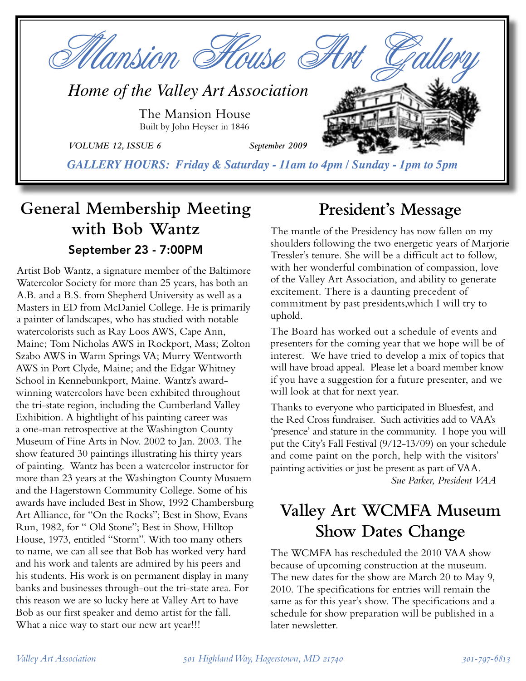

*GALLERY HOURS: Friday & Saturday - 11am to 4pm / Sunday - 1pm to 5pm*

# **General Membership Meeting with Bob Wantz** September 23 - 7:00PM

Artist Bob Wantz, a signature member of the Baltimore Watercolor Society for more than 25 years, has both an A.B. and a B.S. from Shepherd University as well as a Masters in ED from McDaniel College. He is primarily a painter of landscapes, who has studied with notable watercolorists such as Ray Loos AWS, Cape Ann, Maine; Tom Nicholas AWS in Rockport, Mass; Zolton Szabo AWS in Warm Springs VA; Murry Wentworth AWS in Port Clyde, Maine; and the Edgar Whitney School in Kennebunkport, Maine. Wantz's awardwinning watercolors have been exhibited throughout the tri-state region, including the Cumberland Valley Exhibition. A hightlight of his painting career was a one-man retrospective at the Washington County Museum of Fine Arts in Nov. 2002 to Jan. 2003. The show featured 30 paintings illustrating his thirty years of painting. Wantz has been a watercolor instructor for more than 23 years at the Washington County Musuem and the Hagerstown Community College. Some of his awards have included Best in Show, 1992 Chambersburg Art Alliance, for "On the Rocks"; Best in Show, Evans Run, 1982, for " Old Stone"; Best in Show, Hilltop House, 1973, entitled "Storm". With too many others to name, we can all see that Bob has worked very hard and his work and talents are admired by his peers and his students. His work is on permanent display in many banks and businesses through-out the tri-state area. For this reason we are so lucky here at Valley Art to have Bob as our first speaker and demo artist for the fall. What a nice way to start our new art year!!!

# **President's Message**

The mantle of the Presidency has now fallen on my shoulders following the two energetic years of Marjorie Tressler's tenure. She will be a difficult act to follow, with her wonderful combination of compassion, love of the Valley Art Association, and ability to generate excitement. There is a daunting precedent of commitment by past presidents,which I will try to uphold.

The Board has worked out a schedule of events and presenters for the coming year that we hope will be of interest. We have tried to develop a mix of topics that will have broad appeal. Please let a board member know if you have a suggestion for a future presenter, and we will look at that for next year.

Thanks to everyone who participated in Bluesfest, and the Red Cross fundraiser. Such activities add to VAA's 'presence' and stature in the community. I hope you will put the City's Fall Festival (9/12-13/09) on your schedule and come paint on the porch, help with the visitors' painting activities or just be present as part of VAA.

*Sue Parker, President VAA*

# **Valley Art WCMFA Museum Show Dates Change**

The WCMFA has rescheduled the 2010 VAA show because of upcoming construction at the museum. The new dates for the show are March 20 to May 9, 2010. The specifications for entries will remain the same as for this year's show. The specifications and a schedule for show preparation will be published in a later newsletter.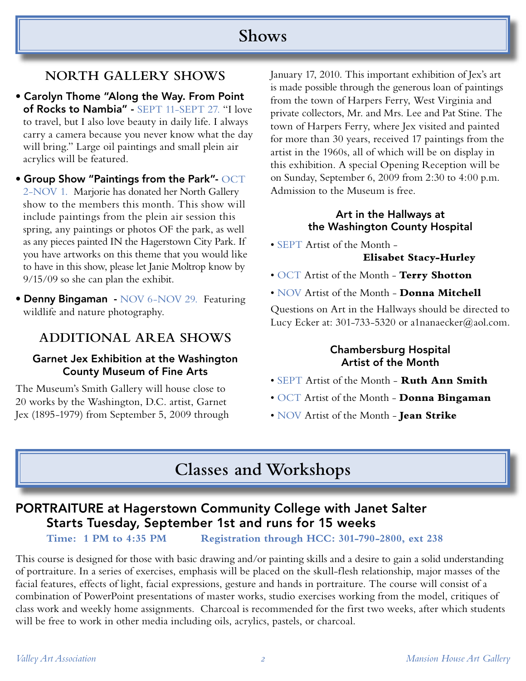## **Shows**

### **NORTH GALLERY SHOWS**

• Carolyn Thome "Along the Way. From Point of Rocks to Nambia" - SEPT 11-SEPT 27. "I love to travel, but I also love beauty in daily life. I always carry a camera because you never know what the day will bring." Large oil paintings and small plein air acrylics will be featured.

• Group Show "Paintings from the Park"- OCT 2-NOV 1. Marjorie has donated her North Gallery show to the members this month. This show will include paintings from the plein air session this spring, any paintings or photos OF the park, as well as any pieces painted IN the Hagerstown City Park. If you have artworks on this theme that you would like to have in this show, please let Janie Moltrop know by 9/15/09 so she can plan the exhibit.

• Denny Bingaman - NOV 6-NOV 29. Featuring wildlife and nature photography.

### **ADDITIONAL AREA SHOWS**

#### Garnet Jex Exhibition at the Washington County Museum of Fine Arts

The Museum's Smith Gallery will house close to 20 works by the Washington, D.C. artist, Garnet Jex (1895-1979) from September 5, 2009 through January 17, 2010. This important exhibition of Jex's art is made possible through the generous loan of paintings from the town of Harpers Ferry, West Virginia and private collectors, Mr. and Mrs. Lee and Pat Stine. The town of Harpers Ferry, where Jex visited and painted for more than 30 years, received 17 paintings from the artist in the 1960s, all of which will be on display in this exhibition. A special Opening Reception will be on Sunday, September 6, 2009 from 2:30 to 4:00 p.m. Admission to the Museum is free.

#### Art in the Hallways at the Washington County Hospital

• SEPT Artist of the Month -

#### **Elisabet Stacy-Hurley**

- OCT Artist of the Month **Terry Shotton**
- NOV Artist of the Month **Donna Mitchell**

Questions on Art in the Hallways should be directed to Lucy Ecker at: 301-733-5320 or a1nanaecker@aol.com.

#### Chambersburg Hospital Artist of the Month

- SEPT Artist of the Month **Ruth Ann Smith**
- OCT Artist of the Month **Donna Bingaman**
- NOV Artist of the Month **Jean Strike**

## **Classes and Workshops**

### PORTRAITURE at Hagerstown Community College with Janet Salter Starts Tuesday, September 1st and runs for 15 weeks

**Time: 1 PM to 4:35 PM Registration through HCC: 301-790-2800, ext 238**

This course is designed for those with basic drawing and/or painting skills and a desire to gain a solid understanding of portraiture. In a series of exercises, emphasis will be placed on the skull-flesh relationship, major masses of the facial features, effects of light, facial expressions, gesture and hands in portraiture. The course will consist of a combination of PowerPoint presentations of master works, studio exercises working from the model, critiques of class work and weekly home assignments. Charcoal is recommended for the first two weeks, after which students will be free to work in other media including oils, acrylics, pastels, or charcoal.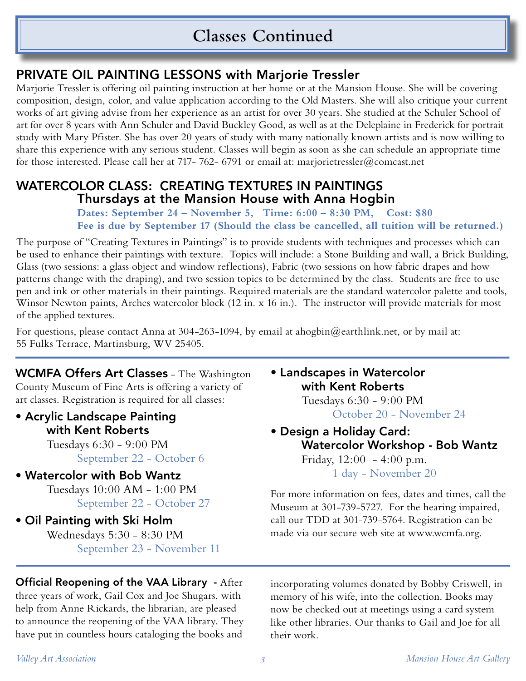## **Classes Continued**

### PRIVATE OIL PAINTING LESSONS with Marjorie Tressler

Marjorie Tressler is offering oil painting instruction at her home or at the Mansion House. She will be covering composition, design, color, and value application according to the Old Masters. She will also critique your current works of art giving advise from her experience as an artist for over 30 years. She studied at the Schuler School of art for over 8 years with Ann Schuler and David Buckley Good, as well as at the Deleplaine in Frederick for portrait study with Mary Pfister. She has over 20 years of study with many nationally known artists and is now willing to share this experience with any serious student. Classes will begin as soon as she can schedule an appropriate time for those interested. Please call her at 717- 762- 6791 or email at: marjorietressler@comcast.net

### WATERCOLOR CLASS: CREATING TEXTURES IN PAINTINGS Thursdays at the Mansion House with Anna Hogbin

 **Dates: September 24 – November 5, Time: 6:00 – 8:30 PM, Cost: \$80 Fee is due by September 17 (Should the class be cancelled, all tuition will be returned.)**

The purpose of "Creating Textures in Paintings" is to provide students with techniques and processes which can be used to enhance their paintings with texture. Topics will include: a Stone Building and wall, a Brick Building, Glass (two sessions: a glass object and window reflections), Fabric (two sessions on how fabric drapes and how patterns change with the draping), and two session topics to be determined by the class. Students are free to use pen and ink or other materials in their paintings. Required materials are the standard watercolor palette and tools, Winsor Newton paints, Arches watercolor block (12 in. x 16 in.). The instructor will provide materials for most of the applied textures.

For questions, please contact Anna at 304-263-1094, by email at ahogbin@earthlink.net, or by mail at: 55 Fulks Terrace, Martinsburg, WV 25405.

#### WCMFA Offers Art Classes - The Washington County Museum of Fine Arts is offering a variety of art classes. Registration is required for all classes:

• Acrylic Landscape Painting with Kent Roberts Tuesdays 6:30 - 9:00 PM

September 22 - October 6

- Watercolor with Bob Wantz Tuesdays 10:00 AM - 1:00 PM September 22 - October 27
- Oil Painting with Ski Holm Wednesdays 5:30 - 8:30 PM September 23 - November 11

#### Official Reopening of the VAA Library - After three years of work, Gail Cox and Joe Shugars, with help from Anne Rickards, the librarian, are pleased to announce the reopening of the VAA library. They have put in countless hours cataloging the books and

### • Landscapes in Watercolor with Kent Roberts

 Tuesdays 6:30 - 9:00 PM October 20 - November 24

• Design a Holiday Card: Watercolor Workshop - Bob Wantz Friday, 12:00 - 4:00 p.m. 1 day - November 20

For more information on fees, dates and times, call the Museum at 301-739-5727. For the hearing impaired, call our TDD at 301-739-5764. Registration can be made via our secure web site at www.wcmfa.org.

incorporating volumes donated by Bobby Criswell, in memory of his wife, into the collection. Books may now be checked out at meetings using a card system like other libraries. Our thanks to Gail and Joe for all their work.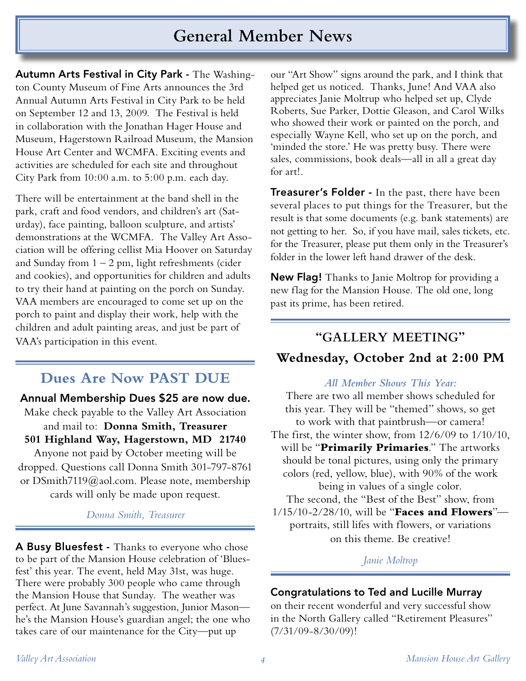## **General Member News**

Autumn Arts Festival in City Park - The Washington County Museum of Fine Arts announces the 3rd Annual Autumn Arts Festival in City Park to be held on September 12 and 13, 2009. The Festival is held in collaboration with the Jonathan Hager House and Museum, Hagerstown Railroad Museum, the Mansion House Art Center and WCMFA. Exciting events and activities are scheduled for each site and throughout City Park from 10:00 a.m. to 5:00 p.m. each day.

There will be entertainment at the band shell in the park, craft and food vendors, and children's art (Saturday), face painting, balloon sculpture, and artists' demonstrations at the WCMFA. The Valley Art Association will be offering cellist Mia Hoover on Saturday and Sunday from  $1 - 2$  pm, light refreshments (cider and cookies), and opportunities for children and adults to try their hand at painting on the porch on Sunday. VAA members are encouraged to come set up on the porch to paint and display their work, help with the children and adult painting areas, and just be part of VAA's participation in this event.

## **Dues Are Now PAST DUE**

Annual Membership Dues \$25 are now due.

Make check payable to the Valley Art Association and mail to: **Donna Smith, Treasurer 501 Highland Way, Hagerstown, MD 21740** Anyone not paid by October meeting will be dropped. Questions call Donna Smith 301-797-8761 or DSmith7119@aol.com. Please note, membership cards will only be made upon request.

#### *Donna Smith, Treasurer*

A Busy Bluesfest - Thanks to everyone who chose to be part of the Mansion House celebration of 'Bluesfest' this year. The event, held May 31st, was huge. There were probably 300 people who came through the Mansion House that Sunday. The weather was perfect. At June Savannah's suggestion, Junior Mason he's the Mansion House's guardian angel; the one who takes care of our maintenance for the City—put up

our "Art Show" signs around the park, and I think that helped get us noticed. Thanks, June! And VAA also appreciates Janie Moltrup who helped set up, Clyde Roberts, Sue Parker, Dottie Gleason, and Carol Wilks who showed their work or painted on the porch, and especially Wayne Kell, who set up on the porch, and 'minded the store.' He was pretty busy. There were sales, commissions, book deals—all in all a great day for art!.

**Treasurer's Folder -** In the past, there have been several places to put things for the Treasurer, but the result is that some documents (e.g. bank statements) are not getting to her. So, if you have mail, sales tickets, etc. for the Treasurer, please put them only in the Treasurer's folder in the lower left hand drawer of the desk.

New Flag! Thanks to Janie Moltrop for providing a new flag for the Mansion House. The old one, long past its prime, has been retired.

#### **"GALLERY MEETING"**

#### **Wednesday, October 2nd at 2:00 PM**

#### *All Member Shows This Year:*

There are two all member shows scheduled for this year. They will be "themed" shows, so get to work with that paintbrush—or camera!

The first, the winter show, from 12/6/09 to 1/10/10, will be "**Primarily Primaries**." The artworks should be tonal pictures, using only the primary colors (red, yellow, blue), with 90% of the work being in values of a single color.

The second, the "Best of the Best" show, from 1/15/10-2/28/10, will be "**Faces and Flowers**" portraits, still lifes with flowers, or variations on this theme. Be creative!

#### *Janie Moltrop*

#### Congratulations to Ted and Lucille Murray

on their recent wonderful and very successful show in the North Gallery called "Retirement Pleasures" (7/31/09-8/30/09)!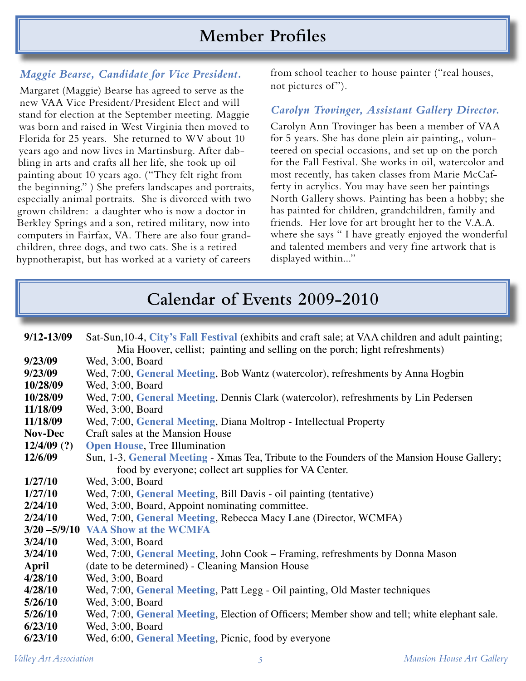## **Member Profiles**

#### *Maggie Bearse, Candidate for Vice President.*

Margaret (Maggie) Bearse has agreed to serve as the new VAA Vice President/President Elect and will stand for election at the September meeting. Maggie was born and raised in West Virginia then moved to Florida for 25 years. She returned to WV about 10 years ago and now lives in Martinsburg. After dabbling in arts and crafts all her life, she took up oil painting about 10 years ago. ("They felt right from the beginning." ) She prefers landscapes and portraits, especially animal portraits. She is divorced with two grown children: a daughter who is now a doctor in Berkley Springs and a son, retired military, now into computers in Fairfax, VA. There are also four grandchildren, three dogs, and two cats. She is a retired hypnotherapist, but has worked at a variety of careers

from school teacher to house painter ("real houses, not pictures of").

#### *Carolyn Trovinger, Assistant Gallery Director.*

Carolyn Ann Trovinger has been a member of VAA for 5 years. She has done plein air painting,, volunteered on special occasions, and set up on the porch for the Fall Festival. She works in oil, watercolor and most recently, has taken classes from Marie McCafferty in acrylics. You may have seen her paintings North Gallery shows. Painting has been a hobby; she has painted for children, grandchildren, family and friends. Her love for art brought her to the V.A.A. where she says " I have greatly enjoyed the wonderful and talented members and very fine artwork that is displayed within..."

## **Calendar of Events 2009-2010**

| $9/12 - 13/09$  | Sat-Sun, 10-4, City's Fall Festival (exhibits and craft sale; at VAA children and adult painting; |  |  |  |  |
|-----------------|---------------------------------------------------------------------------------------------------|--|--|--|--|
|                 | Mia Hoover, cellist; painting and selling on the porch; light refreshments)                       |  |  |  |  |
| 9/23/09         | Wed, 3:00, Board                                                                                  |  |  |  |  |
| 9/23/09         | Wed, 7:00, General Meeting, Bob Wantz (watercolor), refreshments by Anna Hogbin                   |  |  |  |  |
| 10/28/09        | Wed, 3:00, Board                                                                                  |  |  |  |  |
| 10/28/09        | Wed, 7:00, General Meeting, Dennis Clark (watercolor), refreshments by Lin Pedersen               |  |  |  |  |
| 11/18/09        | Wed, 3:00, Board                                                                                  |  |  |  |  |
| 11/18/09        | Wed, 7:00, General Meeting, Diana Moltrop - Intellectual Property                                 |  |  |  |  |
| <b>Nov-Dec</b>  | Craft sales at the Mansion House                                                                  |  |  |  |  |
| $12/4/09$ (?)   | <b>Open House</b> , Tree Illumination                                                             |  |  |  |  |
| 12/6/09         | Sun, 1-3, General Meeting - Xmas Tea, Tribute to the Founders of the Mansion House Gallery;       |  |  |  |  |
|                 | food by everyone; collect art supplies for VA Center.                                             |  |  |  |  |
| 1/27/10         | Wed, 3:00, Board                                                                                  |  |  |  |  |
| 1/27/10         | Wed, 7:00, General Meeting, Bill Davis - oil painting (tentative)                                 |  |  |  |  |
| 2/24/10         | Wed, 3:00, Board, Appoint nominating committee.                                                   |  |  |  |  |
| 2/24/10         | Wed, 7:00, General Meeting, Rebecca Macy Lane (Director, WCMFA)                                   |  |  |  |  |
| $3/20 - 5/9/10$ | <b>VAA Show at the WCMFA</b>                                                                      |  |  |  |  |
| 3/24/10         | Wed, 3:00, Board                                                                                  |  |  |  |  |
| 3/24/10         | Wed, 7:00, General Meeting, John Cook – Framing, refreshments by Donna Mason                      |  |  |  |  |
| <b>April</b>    | (date to be determined) - Cleaning Mansion House                                                  |  |  |  |  |
| 4/28/10         | Wed, 3:00, Board                                                                                  |  |  |  |  |
| 4/28/10         | Wed, 7:00, General Meeting, Patt Legg - Oil painting, Old Master techniques                       |  |  |  |  |
| 5/26/10         | Wed, 3:00, Board                                                                                  |  |  |  |  |
| 5/26/10         | Wed, 7:00, General Meeting, Election of Officers; Member show and tell; white elephant sale.      |  |  |  |  |
| 6/23/10         | Wed, 3:00, Board                                                                                  |  |  |  |  |
| 6/23/10         | Wed, 6:00, General Meeting, Picnic, food by everyone                                              |  |  |  |  |